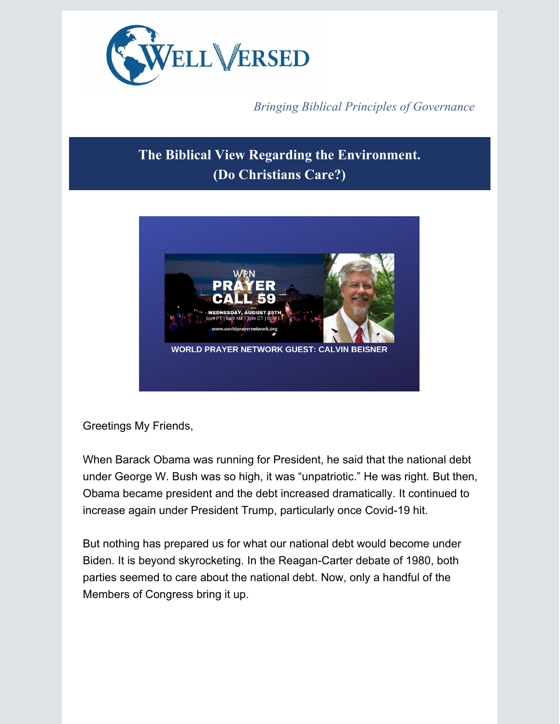

*Bringing Biblical Principles of Governance*

## **The Biblical View Regarding the Environment. (Do Christians Care?)**



Greetings My Friends,

When Barack Obama was running for President, he said that the national debt under George W. Bush was so high, it was "unpatriotic." He was right. But then, Obama became president and the debt increased dramatically. It continued to increase again under President Trump, particularly once Covid-19 hit.

But nothing has prepared us for what our national debt would become under Biden. It is beyond skyrocketing. In the Reagan-Carter debate of 1980, both parties seemed to care about the national debt. Now, only a handful of the Members of Congress bring it up.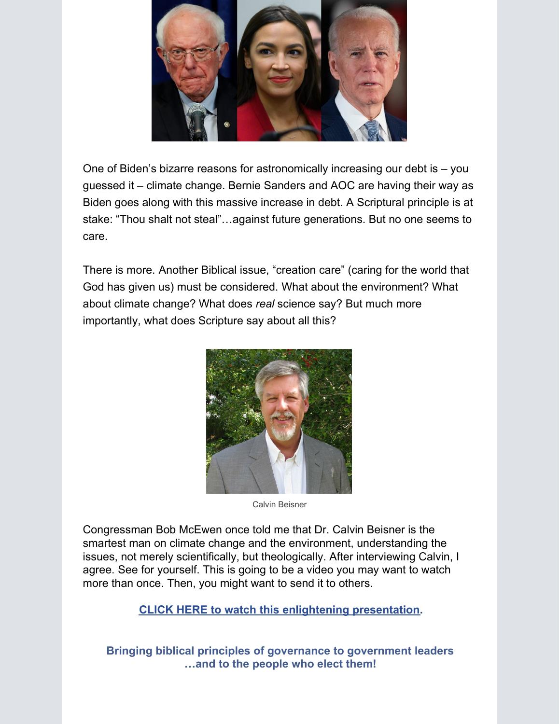

One of Biden's bizarre reasons for astronomically increasing our debt is – you guessed it – climate change. Bernie Sanders and AOC are having their way as Biden goes along with this massive increase in debt. A Scriptural principle is at stake: "Thou shalt not steal"…against future generations. But no one seems to care.

There is more. Another Biblical issue, "creation care" (caring for the world that God has given us) must be considered. What about the environment? What about climate change? What does *real* science say? But much more importantly, what does Scripture say about all this?



Calvin Beisner

Congressman Bob McEwen once told me that Dr. Calvin Beisner is the smartest man on climate change and the environment, understanding the issues, not merely scientifically, but theologically. After interviewing Calvin, I agree. See for yourself. This is going to be a video you may want to watch more than once. Then, you might want to send it to others.

**CLICK HERE to watch this enlightening [presentation](https://app.videosquirrel.app/watch/2003).**

**Bringing biblical principles of governance to government leaders …and to the people who elect them!**